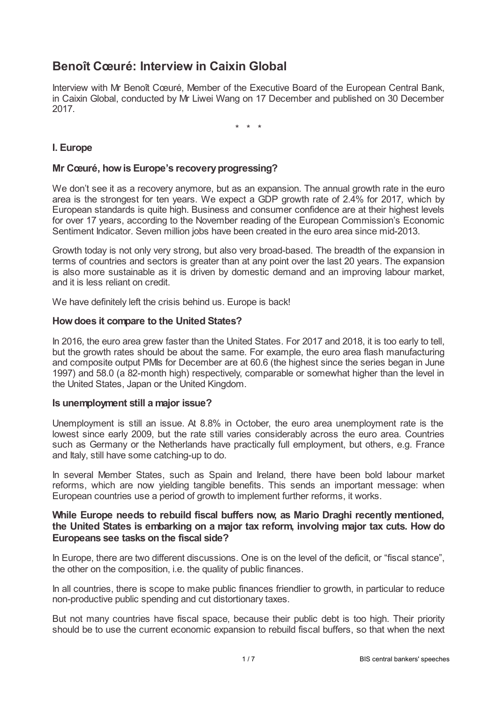# **Benoît Cœuré: Interview in Caixin Global**

Interview with Mr Benoît Cœuré, Member of the Executive Board of the European Central Bank, in Caixin Global, conducted by Mr Liwei Wang on 17 December and published on 30 December 2017.

\* \* \*

## **I. Europe**

### **Mr Cœuré, howis Europe's recoveryprogressing?**

We don't see it as a recovery anymore, but as an expansion. The annual growth rate in the euro area is the strongest for ten years. We expect a GDP growth rate of 2.4% for 2017*,* which by European standards is quite high. Business and consumer confidence are at their highest levels for over 17 years, according to the November reading of the European Commission's Economic Sentiment Indicator. Seven million jobs have been created in the euro area since mid-2013.

Growth today is not only very strong, but also very broad-based. The breadth of the expansion in terms of countries and sectors is greater than at any point over the last 20 years. The expansion is also more sustainable as it is driven by domestic demand and an improving labour market, and it is less reliant on credit.

We have definitely left the crisis behind us. Europe is back!

### **Howdoes it compare to the United States?**

In 2016, the euro area grew faster than the United States. For 2017 and 2018, it is too early to tell, but the growth rates should be about the same. For example, the euro area flash manufacturing and composite output PMIs for December are at 60.6 (the highest since the series began in June 1997) and 58.0 (a 82-month high) respectively, comparable or somewhat higher than the level in the United States, Japan or the United Kingdom.

### **Is unemployment still a major issue?**

Unemployment is still an issue. At 8.8% in October, the euro area unemployment rate is the lowest since early 2009, but the rate still varies considerably across the euro area. Countries such as Germany or the Netherlands have practically full employment, but others, e.g. France and Italy, still have some catching-up to do.

In several Member States, such as Spain and Ireland, there have been bold labour market reforms, which are now yielding tangible benefits. This sends an important message: when European countries use a period of growth to implement further reforms, it works.

### **While Europe needs to rebuild fiscal buffers now, as Mario Draghi recently mentioned, the United States is embarking on a major tax reform, involving major tax cuts. How do Europeans see tasks on the fiscal side?**

In Europe, there are two different discussions. One is on the level of the deficit, or "fiscal stance", the other on the composition, i.e. the quality of public finances.

In all countries, there is scope to make public finances friendlier to growth, in particular to reduce non-productive public spending and cut distortionary taxes.

But not many countries have fiscal space, because their public debt is too high. Their priority should be to use the current economic expansion to rebuild fiscal buffers, so that when the next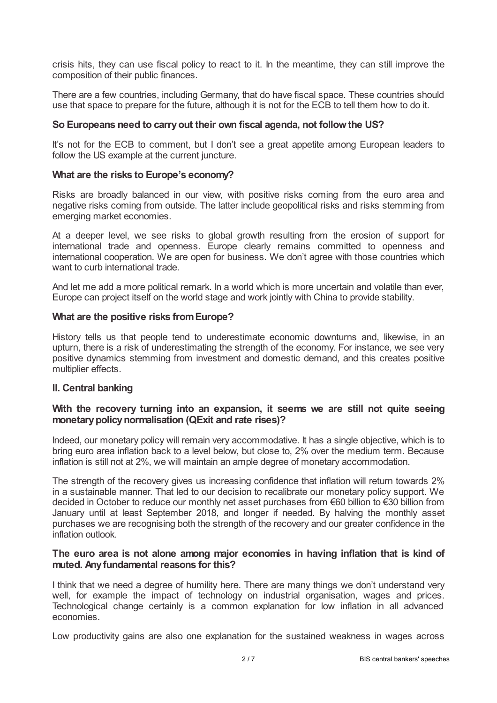crisis hits, they can use fiscal policy to react to it. In the meantime, they can still improve the composition of their public finances.

There are a few countries, including Germany, that do have fiscal space. These countries should use that space to prepare for the future, although it is not for the ECB to tell them how to do it.

### **So Europeans need to carryout their own fiscal agenda, not followthe US?**

It's not for the ECB to comment, but I don't see a great appetite among European leaders to follow the US example at the current juncture.

### **What are the risks to Europe's economy?**

Risks are broadly balanced in our view, with positive risks coming from the euro area and negative risks coming from outside. The latter include geopolitical risks and risks stemming from emerging market economies.

At a deeper level, we see risks to global growth resulting from the erosion of support for international trade and openness. Europe clearly remains committed to openness and international cooperation. We are open for business. We don't agree with those countries which want to curb international trade.

And let me add a more political remark. In a world which is more uncertain and volatile than ever, Europe can project itself on the world stage and work jointly with China to provide stability.

### **What are the positive risks fromEurope?**

History tells us that people tend to underestimate economic downturns and, likewise, in an upturn, there is a risk of underestimating the strength of the economy. For instance, we see very positive dynamics stemming from investment and domestic demand, and this creates positive multiplier effects.

### **II. Central banking**

### **With the recovery turning into an expansion, it seems we are still not quite seeing monetarypolicynormalisation (QExit and rate rises)?**

Indeed, our monetary policy will remain very accommodative. It has a single objective, which is to bring euro area inflation back to a level below, but close to, 2% over the medium term. Because inflation is still not at 2%, we will maintain an ample degree of monetary accommodation.

The strength of the recovery gives us increasing confidence that inflation will return towards 2% in a sustainable manner. That led to our decision to recalibrate our monetary policy support. We decided in October to reduce our monthly net asset purchases from €60 billion to €30 billion from January until at least September 2018, and longer if needed. By halving the monthly asset purchases we are recognising both the strength of the recovery and our greater confidence in the inflation outlook.

### **The euro area is not alone among major economies in having inflation that is kind of muted. Anyfundamental reasons for this?**

I think that we need a degree of humility here. There are many things we don't understand very well, for example the impact of technology on industrial organisation, wages and prices. Technological change certainly is a common explanation for low inflation in all advanced economies.

Low productivity gains are also one explanation for the sustained weakness in wages across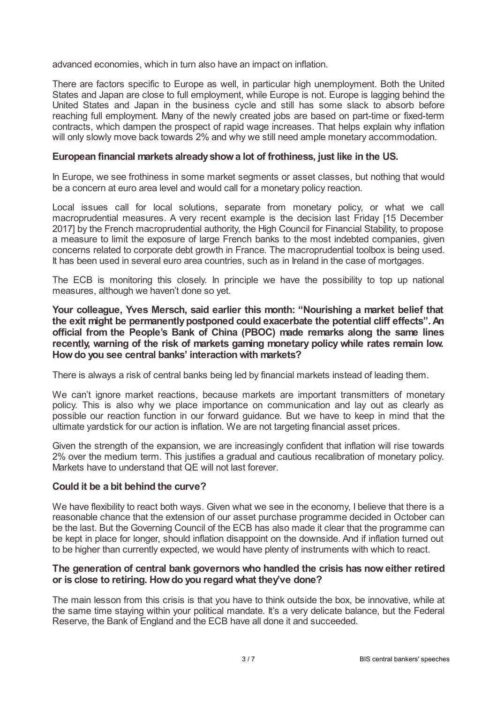advanced economies, which in turn also have an impact on inflation.

There are factors specific to Europe as well, in particular high unemployment. Both the United States and Japan are close to full employment, while Europe is not. Europe is lagging behind the United States and Japan in the business cycle and still has some slack to absorb before reaching full employment. Many of the newly created jobs are based on part-time or fixed-term contracts, which dampen the prospect of rapid wage increases. That helps explain why inflation will only slowly move back towards 2% and why we still need ample monetary accommodation.

#### **European financial markets alreadyshowa lot of frothiness, just like in the US.**

In Europe, we see frothiness in some market segments or asset classes, but nothing that would be a concern at euro area level and would call for a monetary policy reaction.

Local issues call for local solutions, separate from monetary policy, or what we call macroprudential measures. A very recent example is the decision last Friday [15 December 2017] by the French macroprudential authority, the High Council for Financial Stability, to propose a measure to limit the exposure of large French banks to the most indebted companies, given concerns related to corporate debt growth in France. The macroprudential toolbox is being used. It has been used in several euro area countries, such as in Ireland in the case of mortgages.

The ECB is monitoring this closely. In principle we have the possibility to top up national measures, although we haven't done so yet.

**Your colleague, Yves Mersch, said earlier this month: "Nourishing a market belief that the exit might be permanentlypostponed could exacerbate the potential cliff effects".An official from the People's Bank of China (PBOC) made remarks along the same lines recently, warning of the risk of markets gaming monetary policy while rates remain low. Howdo you see central banks' interaction with markets?**

There is always a risk of central banks being led by financial markets instead of leading them.

We can't ignore market reactions, because markets are important transmitters of monetary policy. This is also why we place importance on communication and lay out as clearly as possible our reaction function in our forward guidance. But we have to keep in mind that the ultimate yardstick for our action is inflation. We are not targeting financial asset prices.

Given the strength of the expansion, we are increasingly confident that inflation will rise towards 2% over the medium term. This justifies a gradual and cautious recalibration of monetary policy. Markets have to understand that QE will not last forever.

### **Could it be a bit behind the curve?**

We have flexibility to react both ways. Given what we see in the economy, I believe that there is a reasonable chance that the extension of our asset purchase programme decided in October can be the last. But the Governing Council of the ECB has also made it clear that the programme can be kept in place for longer, should inflation disappoint on the downside. And if inflation turned out to be higher than currently expected, we would have plenty of instruments with which to react.

### **The generation of central bank governors who handled the crisis has noweither retired or is close to retiring. Howdo you regard what they've done?**

The main lesson from this crisis is that you have to think outside the box, be innovative, while at the same time staying within your political mandate. It's a very delicate balance, but the Federal Reserve, the Bank of England and the ECB have all done it and succeeded.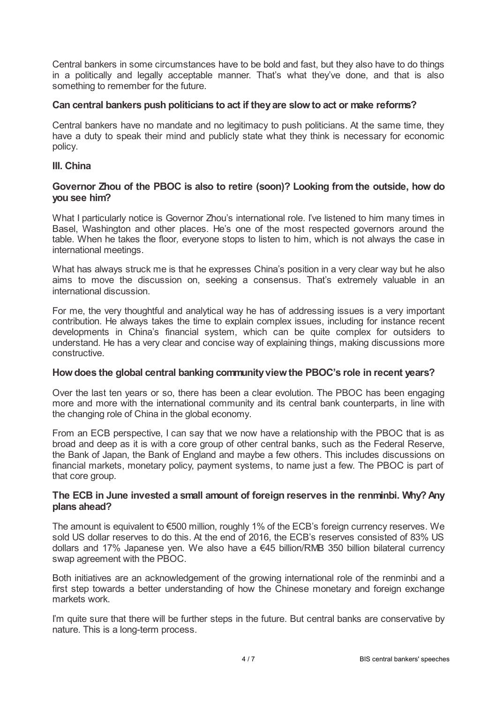Central bankers in some circumstances have to be bold and fast, but they also have to do things in a politically and legally acceptable manner. That's what they've done, and that is also something to remember for the future.

### **Can central bankers push politicians to act if theyare slowto act or make reforms?**

Central bankers have no mandate and no legitimacy to push politicians. At the same time, they have a duty to speak their mind and publicly state what they think is necessary for economic policy.

### **III. China**

### **Governor Zhou of the PBOC is also to retire (soon)? Looking from the outside, how do you see him?**

What I particularly notice is Governor Zhou's international role. I've listened to him many times in Basel, Washington and other places. He's one of the most respected governors around the table. When he takes the floor*,* everyone stops to listen to him, which is not always the case in international meetings.

What has always struck me is that he expresses China's position in a very clear way but he also aims to move the discussion on, seeking a consensus. That's extremely valuable in an international discussion.

For me, the very thoughtful and analytical way he has of addressing issues is a very important contribution. He always takes the time to explain complex issues, including for instance recent developments in China's financial system, which can be quite complex for outsiders to understand. He has a very clear and concise way of explaining things, making discussions more constructive.

### **Howdoes the global central banking communityviewthe PBOC's role in recent years?**

Over the last ten years or so, there has been a clear evolution. The PBOC has been engaging more and more with the international community and its central bank counterparts, in line with the changing role of China in the global economy.

From an ECB perspective, I can say that we now have a relationship with the PBOC that is as broad and deep as it is with a core group of other central banks, such as the Federal Reserve, the Bank of Japan, the Bank of England and maybe a few others. This includes discussions on financial markets, monetary policy, payment systems, to name just a few. The PBOC is part of that core group.

### **The ECB in June invested a small amount of foreign reserves in the renminbi. Why?Any plans ahead?**

The amount is equivalent to €500 million, roughly 1% of the ECB's foreign currency reserves. We sold US dollar reserves to do this. At the end of 2016, the ECB's reserves consisted of 83% US dollars and 17% Japanese yen. We also have a €45 billion/RMB 350 billion bilateral currency swap agreement with the PBOC.

Both initiatives are an acknowledgement of the growing international role of the renminbi and a first step towards a better understanding of how the Chinese monetary and foreign exchange markets work.

I'm quite sure that there will be further steps in the future. But central banks are conservative by nature. This is a long-term process.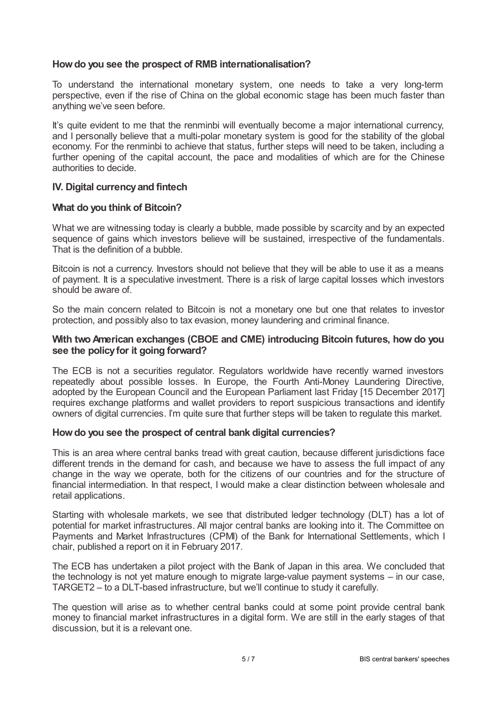### **Howdo you see the prospect of RMB internationalisation?**

To understand the international monetary system, one needs to take a very long-term perspective, even if the rise of China on the global economic stage has been much faster than anything we've seen before.

It's quite evident to me that the renminbi will eventually become a major international currency, and I personally believe that a multi-polar monetary system is good for the stability of the global economy. For the renminbi to achieve that status, further steps will need to be taken, including a further opening of the capital account, the pace and modalities of which are for the Chinese authorities to decide.

### **IV. Digital currencyand fintech**

### **What do you think of Bitcoin?**

What we are witnessing today is clearly a bubble, made possible by scarcity and by an expected sequence of gains which investors believe will be sustained, irrespective of the fundamentals. That is the definition of a bubble.

Bitcoin is not a currency. Investors should not believe that they will be able to use it as a means of payment. It is a speculative investment. There is a risk of large capital losses which investors should be aware of.

So the main concern related to Bitcoin is not a monetary one but one that relates to investor protection, and possibly also to tax evasion, money laundering and criminal finance.

### **With twoAmerican exchanges (CBOE and CME) introducing Bitcoin futures, how do you see the policyfor it going forward?**

The ECB is not a securities regulator. Regulators worldwide have recently warned investors repeatedly about possible losses. In Europe, the Fourth Anti-Money Laundering Directive, adopted by the European Council and the European Parliament last Friday [15 December 2017] requires exchange platforms and wallet providers to report suspicious transactions and identify owners of digital currencies. I'm quite sure that further steps will be taken to regulate this market.

### **Howdo you see the prospect of central bank digital currencies?**

This is an area where central banks tread with great caution, because different jurisdictions face different trends in the demand for cash, and because we have to assess the full impact of any change in the way we operate, both for the citizens of our countries and for the structure of financial intermediation. In that respect, I would make a clear distinction between wholesale and retail applications.

Starting with wholesale markets, we see that distributed ledger technology (DLT) has a lot of potential for market infrastructures. All major central banks are looking into it. The Committee on Payments and Market Infrastructures (CPMI) of the Bank for International Settlements, which I chair, published a report on it in February 2017.

The ECB has undertaken a pilot project with the Bank of Japan in this area. We concluded that the technology is not yet mature enough to migrate large-value payment systems – in our case, TARGET2 – to a DLT-based infrastructure, but we'll continue to study it carefully.

The question will arise as to whether central banks could at some point provide central bank money to financial market infrastructures in a digital form. We are still in the early stages of that discussion, but it is a relevant one.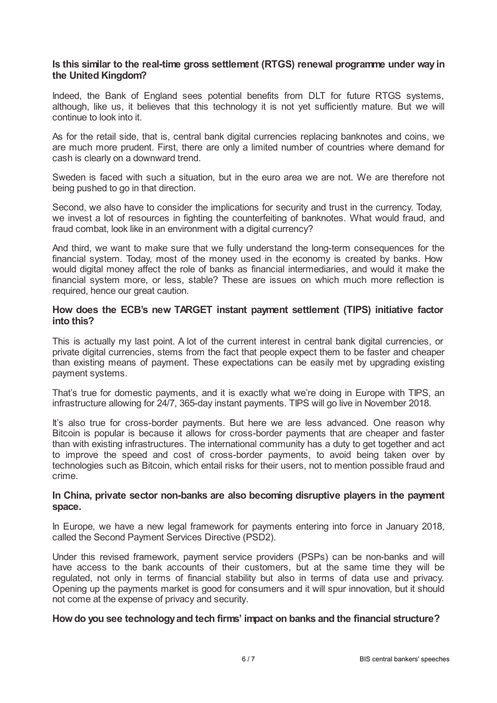### **Is this similar to the real-time gross settlement (RTGS) renewal programme under way in the United Kingdom?**

Indeed, the Bank of England sees potential benefits from DLT for future RTGS systems, although, like us, it believes that this technology it is not yet sufficiently mature. But we will continue to look into it.

As for the retail side, that is, central bank digital currencies replacing banknotes and coins, we are much more prudent. First, there are only a limited number of countries where demand for cash is clearly on a downward trend.

Sweden is faced with such a situation, but in the euro area we are not. We are therefore not being pushed to go in that direction.

Second, we also have to consider the implications for security and trust in the currency. Today, we invest a lot of resources in fighting the counterfeiting of banknotes. What would fraud, and fraud combat, look like in an environment with a digital currency?

And third, we want to make sure that we fully understand the long-term consequences for the financial system. Today, most of the money used in the economy is created by banks. How would digital money affect the role of banks as financial intermediaries, and would it make the financial system more, or less, stable? These are issues on which much more reflection is required, hence our great caution.

### **How does the ECB's new TARGET instant payment settlement (TIPS) initiative factor into this?**

This is actually my last point. A lot of the current interest in central bank digital currencies, or private digital currencies, stems from the fact that people expect them to be faster and cheaper than existing means of payment. These expectations can be easily met by upgrading existing payment systems.

That's true for domestic payments, and it is exactly what we're doing in Europe with TIPS, an infrastructure allowing for 24/7, 365-day instant payments. TIPS will go live in November 2018.

It's also true for cross-border payments. But here we are less advanced. One reason why Bitcoin is popular is because it allows for cross-border payments that are cheaper and faster than with existing infrastructures. The international community has a duty to get together and act to improve the speed and cost of cross-border payments, to avoid being taken over by technologies such as Bitcoin, which entail risks for their users, not to mention possible fraud and crime.

### **In China, private sector non-banks are also becoming disruptive players in the payment space.**

In Europe, we have a new legal framework for payments entering into force in January 2018, called the Second Payment Services Directive (PSD2).

Under this revised framework, payment service providers (PSPs) can be non-banks and will have access to the bank accounts of their customers, but at the same time they will be regulated, not only in terms of financial stability but also in terms of data use and privacy. Opening up the payments market is good for consumers and it will spur innovation, but it should not come at the expense of privacy and security.

### **Howdo you see technologyand tech firms' impact on banks and the financial structure?**